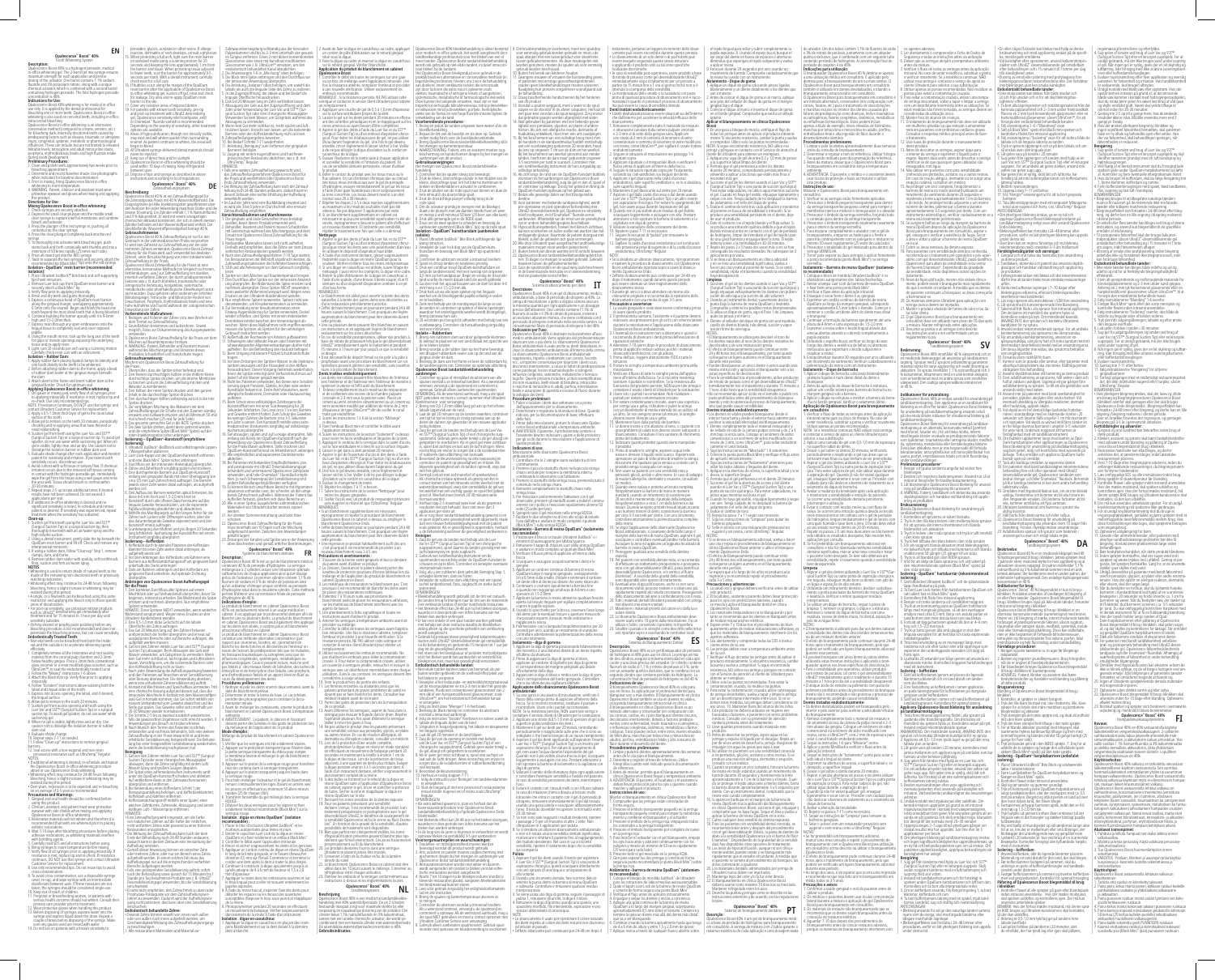**Opalescence™ Boost™ 40% EN**

# **Description:**<br> **Description:** Tooth Whiteining System peroxide, medical consistence Book 40% is a hydrogen peroxide, medical<br>
Chaliform manuful manuful manuful manuful manuful manuful manuful manuful manuful manuful manuf

**Mixing Opalescence Boost in-office whitening:**<br>1. Checksyringes are securely attached.<br>2. Depress the small clear plunger into the middle small<br>- clear syringe to rupture internal membrane and combine<br>- bleach and activat

3. Press the plunger of the red syringe in, pushing all contents into the clear syringe. syringe.<br>r completely back into the red

syringe.<br>5. To thoroughly mix activator with bleaching gel, push<br>- stems back and forth continually with thumbs and mix a<br>- minimum of 50 times rapidly (25 times each side).<br>6. Press all mixed gel into the RED syringe.<br>7.

recommediating (Black/Min<sup>Tri</sup>tip) onto the red syringe.<br>**Isolation - OpalDam' resin barrier (recommended**<br>**Explacion)** - Diplometic resolution in the literature of the block and self-supporting<br> $2$  like bluradent Isolatok 8. Using the mouth mirror, look up the long axis of the teeth for gaps or minute openings exposing the underlying tissue and re-apply resin.

9. Light cure 20 seconds per arch using a scanning motion. Carefully check resin cure with an instrument. **Isolation – Rubber Dam:**<br>1. Apply ubber dam placing ligated clamps bi-laterally and<br>2. Defore attaching rubber denth to be whitened.<br>2. Before attaching rubber dam to the frame, apply a bead<br>of rubber dam sealer at the gi

3. Attach dam to the frame and invert rubber dam at the<br>digital border. Check for optimum seal.<br>**Applying Opalescence Boost in-office whitering:**<br>**Applying Opalescence Boost in-office whitering:**<br>1. On gauze or mixing pad,

2. Apply a 0.5-1.0mm thick layer of gel to the clean labial surface of the tooth.

3. Allow get to remain on the teeth 20 minutes, periodically<br>
or ecolong and re-applying areas that have thinned or<br>
need replenging and re-applying areas that have thinned or<br>  $\sim$  4. Succion get limit to the successive p

• For post-op sensitivity, use potassium nitrate products such as UltraEZ™ desensitizing gel immediately after treatment and for 15 minutes to 1 hour per day until sensitivity subsides. • Etching enamel or prophy paste polishing before any bleaching procedure is not recommended and does not

potentiate the bleaching process, but can cause sensitivity.<br>**Endodontically Treated Teeth:**<br>• Non-vital teeth can be bleached from both the inside<br>out and the outside in to accelerate whitening speed/<br>effectivity. 1. Completely remove all the restorative and root sealing<br>Denote all from the coronal pulp chamber and 2-3mm<br>below healthy gingiva. Place a 2mm thick conventional<br>glass ionomer or a resin modified glass ionomer, such as<br>Ul

to sear the endowmitting themes consul<br>Mixing" instructions 1-6 above.<br>Black mini tip. Verify flow prior to applying

3. Attach the Black mini tip. Verify flow prior to applying<br>A relation in the singular interactions above isolating both the<br>4. Follow "Isolation" instructions above isolating both the<br>Isolatiand lingual sides of the tooth

suctioning gel. 8. When no gel is visible, lightly rinse and air dry. Use caution not to dislodge the isolation barrier or rubber

dam seal. 9. Evaluate shade change. 10. Repeat steps 7-11 as needed. 11. Follow "Clean-up" instructions to remove gingival

barriers. 12. Seal access with a non-eugenol and non-resin

provisional restorative such as UltraTemp" Regular.<br>In additional whitening is desired, re-schedule and repeat<br>the Opalescence Boost in-office whitening procedure<br>above or use Opalescence Boost in-office whitening.<br>above o

**Precuritions and Warnings:**<br>Constanting and a predict structure of the confirmed before<br>C. Clinician, assistant, and patient must wear protective<br>C. Clinician, assistant, and patient must wear protective<br>Constanting and a

with bonding agents.<br>C. Greenly means and all instructions before using<br>C. Berng symples to room temperature before using<br>C. Verry flow of all sympes prior to applying intraorally.<br>If continues DD McTueschell symbol entros

disinfectant between uses. If these measures are not<br>taken, the syringes should be considered single-use.<br>10. Keep out of reach of children.<br>11. Pregnant or breastfeeding women, or patients with<br>1. Pregnant or breastfeedin

Describilisierungsgel verwenden, bis die Sensibilisierung<br>
Verschwindet.<br>
Yestydivarielet, deutschriften, den Zahraschnez zu ätzen oder<br>
Ferophylaxe-Foliturgaste vor dem Zahraudhellungsver-<br>
Ferophylaxe-Foliturgaste vor de

peroxides, glycols, acrylates or coher esins. It allergic<br>research of energies and develops, consult a physician<br>on standard model and acryliging the result particle of the standard model is<br>inglessing the standard model i

mever be injected.<br>
22. Dealer control and/or sunlight,<br>
21. Keep out of direct heat and/or sunlight,<br>
21. Keep out of direct heat and/or sunlight photod be<br>
23. Dispose of tips, and syringe as described in above<br>
23. Disp

 $\begin{array}{l} \text{Ultrain} \\ \text{HINWESE} \\ \text{FIBI} \text{ enive Zahradihellung gewünscht wird,} \\ \text{das Zahnathellungsverfahren Opalescence Boost für die Prass und wiederholen oder Ophisecerce Boost  
Gib Fiask und wiederholen oder Ophisecerce Beost  
En do Zahnadhellung gewenden. \\ \text{En Wintung der Zahradihellung aan nach der Zahnul-  
helung noch Z4-48 Suntelen andauern, daturch ann in  
Comelifzhtnuuren der Ruchbildung erunhendung der Anhellung und  
es wird eine Rückbildung erwartu und  
zahrauhellung een hichtstchnit eine enneute$ 

Zahnaufhellung empfohlen.<br>**Vanhaufhellung empfohlen.**<br>1. Die gingivale und orale Gesundheit muss bestätigt<br>1. Die gingivale und orale Gesundheit muss herdr.<br>2. Behandler, Assistent und Patient müssen Schutzbrillen<br>2. Behan

Praxis tragent<br>als Rastaurative Materialien lassen sich nicht aufhellen,<br>Deshalb wird empfohlen, dass die Zähne vor dem Einsatz<br>ästhetischer Restaurationen geweißt werden.<br>4. Nach dem Zahnaufhellungsverfahren 7-10 Tage war

5. Solland alle Anleitungen vor dem Gebrauch sorgfältige<br>
16. gentes vor dem Mischen auf Raumtemperatur bringen.<br>
16. gentes vor dem Mischen Anleiten auf Raumtemperatur bringen (16. 2001)<br>
17. Den Durchfluss aller Spirite

1 Stagen. Entsprender Spritzen Wasser in die Injektions-<br>1970 – Stagen der Spritzen Wasser in die Injektions-<br>1980 – Bevor die Spritzen entsprender die Fusion von die Spritzen entsprender die Instantion bevor die Spritzen<br>

Kunststoffbarriere mit einer Scanbewegung für 20<br>Sekunden lichthärten. Die Linse circa 1 cm von Barriere<br>und Gewebe entfermt halten. Zum Schutz des Gewebes<br>bei weniger Zähnen die Barriere circa 3-5 Sekunden<br>pro Zahn scanne Aushärtung überprüfen. 16. Gel absaugen, spülen und auf Leckage überprüfen, falls entlang des Rands der OpalDam-Kunststoff nach der Anwendung von Opalescence Boost Zahnaufhellung für die Praxis Blasen auftreten. Stelle trocknen und OpalDam-Kunststoff erneut im Arbeitsbereich anbringen. 17. Alle empfindlichen und exponierten Dentinbereiche abdecken.<br>18. Bei Patienten mit bekannten Empfindlichkeiten, prä-<br>19. und postoperativ mit UltraEZ Desensibilisierungsgel<br>behandeln und unterstüzend Opalescence Zahnpasta<br>verwenden, und/oder Enamelast" Fluoridlack empfe-<br>h

andere Behandlungsmöglichkeiten verfügbar.<br>19. Es können klinisch unsichtbare Bereiche mit Hypominer-<br>alisationen vorhanden sein, die schneller als der umge-<br>bende Zahnschmelz aufhellen. Während der Patient das Aufhellen fortsetzt, gleichen sich diese Bereiche an.<br>20. Alle in einer Spritze ausgelieferten zahnmedizinischen<br>Materialien von Ultradent dürfen niemals injiziert<br>werden.<br>21. Vor direkter Sonneneinstrahlung und/oder Hitze

schützen.<br>
22. Optalescence Boost Zahnaufhellung für die Praxis<br>
muss innerhalb von 10 Tagen nach der Micharing<br>
muss magnification en die Amerikane<br>
23. Entsorgen der Kanien und Spritze wie in der Anwendungen.<br>
25. Entso

doivent porter des luneles et des gants de protection lors<br>du mélange et de l'application de ce produit.<br>Mode d'emploi :<br>du mélange et de l'application de ce produit.<br>Nécarge du produit de blanchiment en cabinet Opalescenc

• Over years, regression is to be expected and re-bleaching on an average of 3-5 years is recommended.

4. Wait 7-10 days after bleaching procedures before placing adhesive restorations, as whitening materials interfere

9. To avoid cross-contamination, use a disposable syringe cover, re-cap, and wipe syringe with an intermediate

primary care provider prior to treatment. 12. Wear protective gloves when handling this product. 13. Before disposing of syringes aspirate water into the syringe and express liquid down the drain. Repeat a

couple of times before disposing of the syringe. Make sure any gauzes used are rinsed with water. 14. Do not use on patients with a known sensitivity to

Zahmurzekiesiegelung voltsändig aus der koronalen<br>1981 metropologia aus der koronalen<br>1981 metropologia aus der koronalen<br>1982 metropologia aus der koronalen<br>1982 metropologia aus der alternatione de la constantine de la c

2. Avant de fixer la digue en caouchoux au cadre, appliquer<br>situe son cordon de pâte d'obturation sur le rebord gingival<br>situe sous la digue.<br>5. Fixer la digue au cadre et inverser la digue en caouchouc<br>sur le rebord gingi

Opalescence Boost 40% bleekbehandeling is alleen bestemd<br>voor medisch in-office gebruik. Het wordt aangebracht door<br>tandheelkundige professionals voor het bleken van een of<br>meer tanden, Opalescence Boost tandartsbleekbehan

9. Om kruisbesmetting te voorkomen, moet een spuildop<br>spuil afvergen tere een toeren gebruik en moet u de<br>spuil afvergen met een tussemplout voor desniteling<br>tussem gebruik<br>moeten een te voorkomen van de voor een mole tuss

d'hypocalcification présentes peuvent blanchir plus rap-<br>idement que l'émail environnant. Ces zones fusionneront progressivement au fil du blanchiment. 20. Les produits dentaires fournis dans une seringue Ultradent ne doivent jamais être injectés. 21. Conserver à l'abri de la chaleur et/ou de la lumière

direct du soleil.<br>
22. Le blanchiment Opalescence Boost en cabinet doit être<br>
22. Le blanchiment Opalescence Boost en conserver aux<br>
23. Elminier des reinous de la semple conformément aux<br>
23. Elminier des reinous de la se

Opalescènce Boost 40% is een medische tandarisbleekbe-<br>bestaande mixpul zorg van die natuur van die metallier van die speel oor maande terken by leider<br>bestaande mixpul zorg voor maamde sterke blij ele oorlog<br>copassing en

options are available.<br>The Areas of hypocalcification, though not clinically visible,<br>The ay exist and will whiten quicker than surrounding<br>enamel. As patient continues to whiten, the areas will<br>begin to blend.<br>D. All Ultr

Isolierung – OpalDam™-Kunststoff (empfohlene<br>Isolierung)

Le produit de blanchiment en cabine de la guerge de la guerge de la solitat de la distinctivité de la guerge médiciel de la produitie de la produitie de la produitie de la produitie de la produitie de la produitie de la pr

Spitzen wewenden.<br>
Spitzen werden MIGHT verwenden, wenn weiterhin<br>
Villagets and verspitzen MIGHT verwenden, wenn weiterhin<br>
Willagets Content (Michael et al. 1996)<br>
2. The spitzen of the spitzen of the labile and the labi

Ameendingen pro Besidh mich luberschreien.<br>
A Nach Wunsch den Termin des Patienten nochmals<br>
einhostellein und nochmals behandelein, dils terre weighted<br>
einhostellein und nochmals behandelein, dils terre weighted<br>
einhost

aufgehellt werden. In einem solchen Fall muss das<br>Aufhellungsgel nur auf die entsprechenden verfärbten<br>Bereiche aufgetragen werden.<br>• Falls eine postoperative Sensibilisierung auftritt, sofort<br>• Rals eine postoperative Sen

trattamento, pertanto un leggero incremento dello sbian-<br>camento può essere riscontrato durante questo periodo.<br>• Lo sbiancamento di un solo dente o di pochi denti può<br>essere eseguito seguendo queste stesse istruzioni<br>• ap • In caso di sensibilità post-operatoria, usare prodotti a base di nitrato di potassio come gel desensibilizzante UltraEZ™ immediatamente dopo il trattamento per un periodo a

el tejido língual para sellar y cubrir completamente la<br>papila expuesta. 8. Usando el espejo bucal, busque el<br>eje largo del diente en busca de espacios o aberturas<br>diminutas que expongan el tejido subyacente y vuelva<br>a apl

Alalamiento - Dique de goma<br>
Alamiento - Dique de goma colocando pinzas ligadas<br>
Dialecianmente y un diene distantente a los dientes que<br>
2 Antes de colocar el dique de goma a un marco, aplique<br>
Una qota del sellador de di

1. En una graza o loque de mezda, verifique el flujo de mezda, verifique el flujo de mezda, verifica-si el formano de para de para de para de para de para de para de para de para de para de para de para de para de para de

inmediatamente tras el tratamiento y durante 15 minutos a<br>1 hora al día hasta que la sensibilidad desaparezca.<br>1 hora al día hasta que la sensibilidad desaparezca.<br>pasta profiláctica antes del procesio de blanqueamiento,<br>m

Los dientes no viales pueden blanquearse desde el proprior incidente interior hacia adentro para acteriar version del banquearmento.<br>
acteriar la velocidad del banqueamiento de la propriera de la ciudad de la propriera de

à une nouvelle vérification. Utiliser exclusivement les embouts recommandés. REMARQUE : Si la résistance persiste, NE PAS utiliser cette seringue et contacter le service client Ultradent pour obtenir un remplacement. 2. Appliquer une couche de gel de 0,5 à 1,0 mm d'épaisseur sur la surface vestibulaire propre de la dent. 3. Laisser le gel sur les dents pendant 20 minutes en effectu- ant des contrôles périodiques et en le réappliquant sur les zones amincies ou ayant besoin d'être complétées. 4. Aspirer le gel des dents à l'aide du Luer Vac et du SST™ (Surgical Suction Tip) ou d'un embout d'aspiration chirur- gical. Pour éviter les éclaboussures de gel, ne pas utiliser d'eau durant l'aspiration du gel. Une fois le gel devenu invisible, rincer légèrement et laisser sécher à l'air. Veiller à de ne pas déloger la digue d'isolation ou le cordon en caoutchouc de la digue. 5. Évaluer l'évolution de la teinte suite à chaque application et surveiller la sensibilité et l'irritation du patient. En cas de sensibilité dentaire persistante, cesser d'utiliser le produit. 6. Éviter le contact du produit avec les tissus mous ou le flux salivaire. En cas d'irritation chimique due au contact des tissus mous intrabuccaux avec le gel de peroxyde d'hydrogène, essuyer immédiatement le gel sur les tissus à l'aide d'une gaze humide puis rincer soigneusement la zone concernée. Les tissus doivent revenir à un état normal sous 20 à 30 minutes. 7. Répéter les étapes 2 à 5 à deux reprises supplémentaires au maximum si les résultats souhaités n'ont pas été obtenus. Ne pas dépasser 3 applications par visite. 8. Si un blanchiment supplémentaire en cabinet est nécessaire et qu'aucune sensibilité significative n'a été ob- servée, reprogrammer si besoin le patient afin d'effectuer un nouveau traitement. S'il présente une sensibilité, répéter le traitement une fois que celle-ci a diminué. **Nettoyage**  1. Aspirer le gel des dents à l'aide du Luer Vac et du SST™ (Surgical Suction Tip) ou d'un embout d'aspiration chirur- gical puis rincer les dents avec une pulvérisation d'air/eau en utilisant le dispositif d'aspiration haut débit. 2. A l'aide d'un instrument dentaire, glisser soigneusement l'extrémité sous la digue en résine OpalDam pour la soulever. Vérifier et retirer tous les restes interproximaux. 3. Si une digue en caoutchouc est utilisée, suivre l'étape de nettoyage 1 puis retirer les crampons, la digue et le cadre. 4. Retirer la pâte d'obturation de la digue en caoutchouc à l'aide d'une spatule, d'une brosse à dents souple, d'un fil dentaire ou d'un dispositif d'aspiration combiné à un jet d'air/eau ferme.

REMARQUES:<br>
The theoretical interest utilisé pour assortir la teinte des dents<br>
rétablement est utilisé pour assortir la teinte des dents<br>
rétablement est utilisé pour assortir la teinte des dents<br>
rétable de la bardinher

esposta. 18. Per pazienti con sensibilità dentale nota, si raccomanda di effettuare un trattamento preoperatorio e postopera<br>rei discussibilizzante UltraEZ, pasta dentificia<br>desensibilizzante Opalescence, e/o vernice al fluoro<br>Enamelast". A seconda della gravità della sensibilità,<br>sono dispo rapidamente rispetto allo smalto circostante. Proseguendo dello sbiancamento tali aree si confonderanno con il resto. 20. Tutti i materiali dentali Ultradent posizionabili con siringa non devono mai essere iniettati. 21. Mantenere i materiali protetti dal calore e/o dalla luce solare diretta.<br>22. Lo sbiancante Opalescence Boost ambulatoriale deve<br>22. Lo sbiancante Orgiorni dalla miscelazione. Tra un<br>utilizzo e l'altro, conservare il prodotto in frigorifero.<br>23. Smaltire i puntali e le siringhe c

Description:<br>Description de Blanqueamiento Dental<br>Description:<br>Considerate Boost 40% es un gel blanqueador de peróxido<br>Considerate al constant de superiority and the description of 40% para user difficult.<br>Catón y una doss

El blanqueamiento en clínica Opalescence Boost es un<br>método alternativo y conservador (en comparación con<br>las coronas, carillas, etc.) para blanquear dientes oscuros,<br>decolorados internmeente, debido a factores predispo-<br>n

i influencias congénitas, sistemicas, metabolicas da mina-<br>indiperior displanta da sistemicas consideradas da mina-<br>influencia da mina-considerada primo da mina-considerada primo da mina-considerada primo da **Procedimismo** 

retirer les digues gingivales. 12. Sceller l'accès avec un produit de restauration provisoire

sans eugénol in résine le que l'UltraTemp" Regular.<br>
SEMARQUES:<br>
SEMARQUES:<br>
SEMARQUES:<br>
SEMARQUES:<br>
CHEMARQUES:<br>
CHEMARQUES:<br>
CHEMARQUES:<br>
CHEMARQUES:<br>
CHEMARQUES:<br>
CHEMARQUES:<br>
CHEMARQUES:<br>
CHEMARQUES:<br>
CHEMARQUES:<br>
CHEM

de placer des restaurations esthétiques. 4. Patientez 7 à 10 jours suite aux procédures de blanchiment avant de placer les restaurations adhésives,

car les mateixancs de blanchiment interférent avec les<br>agents de laison.<br>
significations de laison de laison de laison de laison de laison de laison de laison de laison de la propriété de produit.<br>
la mateixa de la produit

**Vorbereitende Maßnahmen:**<br>1. Reinigen und Polieren der Zähne circa zwei Wochen vor<br>- dem Termin zur Zahnaufhellung.<br>2. Grundfarbton bestimmen und aufzeichnen. Soweit<br>- möglich, Fotos zur Dokumentierung des Ausgangswertes<br> 3. Opalescence Boost Zahnaufhellung für die Praxis vor dem Mischen auf Raumtemperatur bringen.

4. WARNUNG: Patient, Behandler und Assistent müssen<br>- während des Mischvorgangs und Einsatzes dieses<br>- Produktes Schutzbrillen und Handschuhe tragen.<br>**Gebrauchsanweisung:**<br>die Praxis<br>Mischen von Opalescence Boost Zahnaufhe Mischen von Opalesterite boost zaminumendurg ist.<br>die Praxis<br>1. Überprüfen, dass die Spritze sicher befestigt sind.<br>2. Den kleinen durchsichtigen Kolben in die mittlere kleine

durchsidige Spritze drücken, um die interne Membrane<br>20 Attocher und um die Zahnaufhellung mit dem und<br>20 Attocher van durchsidige Spritze drücken und den ganzen<br>2. Den Kolben der roten Spritze drücken und den ganzen<br>4. De

1. Ultraderi, Solida (1964)<br>
2. Nova en la estaziona de lippen-<br>
2. Lues-Lock-Kapel von der populant Kunststoff en lener<br>
2. Lues-Lock-Kapel von der populant Kunststoff en lener<br>
2. Dirie eine Back Marri spitze sicher anto

de ce produit. 13. Avant d'éliminer les seringues, aspirer de l'eau dans la seringue puis évacuer le liquide dans le drain. Répéter l'opération plusieurs fois avant d'éliminer la seringue.

Velile l'animato per les gases d'esu<br>de l'animato de procedes de la constitue de la constitue de la constitue de la constitue de la constitue de la constitue de la procede proprietative de la procede proprietative de la p

barriere gengivali. 12. Sigillare la cavità d'accesso endodontica con un'otturazi- one provvisoria priva di eugenolo e di la cavità d'accesso

endodontica, UltraTemp" Regular.<br>NOTE:<br>NOTE: si desidera un ulteriore esbiancamento, riprogrammare<br>e ripetere la procedura di sbiancamento con Opalescence<br>Boots ambulatoriale riportata sopra o usare lo sbianca-<br>mento Opale

- Durante gli anni d'si deve attendere un niomo alla<br>colorazione originale e si raccomanda la inpetizione dello<br>colorazione originale e si raccomanda la inpetizione dello<br>**Francia dello diversi dello diversi dello diversi** 

fuoriuscia del prodotto persiste, NON usare tale sintega e<br>contatare il sevizio denti di Ultradent per la sostituzione.<br>8. Usare solo i puntali raccomandate. Non riutilizzare i<br>partici per evitare contaminazioni crociate.<br>

il prodoto.<br>
Terma di smallite le sininghe, aspirare acqua nelle stare.<br>
313 Prima di smallite le sininghe, aspirare acqua nelle sininga, esperazione un paio di volte prima di smallite la sininga.<br>
Al Non usare su paparent

6. Permita que el gel permanezca en el diente 20 minutos.<br>7. Succione el gel de la abertura de acceso y del diente y sango el diente.<br>0. usando el Luer Vac y SST™ (Surgical Suction Tip) o una<br>1. punta de succión quirúrgica utilice agua mientras succiona el gel. 8. Cuando no haya gel visible, enjuague ligeramente y seque con aire. Tenga cuidado de no desplazar la barrera de aislamiento o el sello del dique de goma. 9. Evalúe el cambio de tono. 10. Repita los pasos 7 a 11 según sea necesario.<br>11. Siga las instrucciones de "Limpieza" para quitar las barreras gingivales. 12. Selle el acceso con una restauración provisional sin

eugenoly sin resina, como UltraTemp<sup>o</sup> Regular,<br>VOTAS: la desea un blanquemento adicional, vuelva a hacer<br>Una día y repiña el procedimento de blanquemento en<br>una día y repiña el procedimento de blanquemento en<br>miemo polais

**Aislamiento - barrera de resina OpalDam™ (aislamien- to recomendado):** 

1. Coloque el biogrócio de mordials a los de la constante de la constante de la constante de la constante de la constante de la constante de la constante de la constante de la constante de la constante de la constante de l

do altivador. Um dos tubos contém 1,1% de fluoreto de sódio en 2000<br>e 3% de nitrato de podação, juntamente com um ativador<br>a constituívo due tecnoloxido do constituívo de constituívo de constituívo de constituívo de consti

zijn er andere behandelingsopties beschikbaar.<br>19. Hypocalcificatiegebieden, hoewel niet klinisch zichtbaar, kunnen voorkomen en zullen sneller wit worden dan het<br>19. kunnen voorkomen en zullen sneller wit worden dan het<br>1 materialen mogen nooit worden geïnjecteerd. 21. Buiten bereik van directe warmte en/of zonlicht bewaren. 22. Opalescence Boost tandartsbleekbehandelingdient bin- nen 10 dagen na mengen te worden gebruikt. Gekoeld

bewaren tüssen de gebruiksmomenten.<br>23. Gooi de spuitmondén en de spuit weg zoals beschreven<br>in de boverstaande instructie en in overeenstemming<br>met de plaatselijke voorschriften.<br>**Opalescence<sup>-</sup>Boost<sup>-4096</sup><br>Descrizione:**<br>

Opelescente Boost 40% è un gril disbinamento, medico, alguna del significamento, medico presidente a gento a dispinalizaria per presidente a gento a presidente a gento a presidente a gento a presidente a gento a presidente

1. Posizionare il blocco occlusie Ultradent Isobilock<sup>2</sup> e i<br>certatori di autosupporto per labbra/guance.<br>2. Rimuovere il trappo di chiusura Luer dalla simona OgalDam<br>3. Servicere il modo completo un pundale Black Mini.<br>2.

1. Plaats Ultradent IsoBlock™ Bite Block zelfdragende lip/ wang retractors.

2. Verwijder de Luer-Iock dop van de OpalDam-kuns-<br>tharsdam en bevestig een Black Mini<sup>3</sup> tip-sputtmond<br>3. Confroleer de uitstroom voordat u intraoraal toedient.<br>4. Spoel en droog tarden en analysees grondd<u>e</u> ann uit<br>5. D

7. Durk has uit va alle open pleten op het Inguale<br>
se veelsel om de bloodiggende papillal volledig te sealen<br>
to weeks om de bloodiggende papillal volledig te sealen<br>
se veelsel om de bloodiggende papillal volledig te sea

OPMERKINGEN: • Bleekbehandeling wordt gebruikt om de tint van natuurli- jke tanden terug te brengen naar de tint van de resterende

niet-verkleurde fander af derde matchende restauratie.<br>
Hier blekende effect kan 24-48 sur na het bleken doorgaan, waardoor in deze periode een lotte branne van het bleken doorgaan, Erkan een enkele of een paar randen word

3. Bevestig de Black minitip en contoleer de uitstroom<br>
3. Vevastig de Black minitip en contoiner en isoleer zowel de<br>
4. Volg de instructies "Stolate" finétoven en isoleer zowel de<br>
4. Lable als linguale zijden van de tan

- 
- 
- 
- 
- deste produto.<br>
3. Antes de descartar as seringas, aspirar água para<br>
o interior da seringa e esperente o líquido para o<br>
control da seringa e esperente o líquido para o<br>
espoto. Repetir duas vezes antes de descartar a ser
- 
- recomenda-se o tratamento pré-operatório e pós-oper-<br>atório com gel dessensibilizante UltraEZ, pasta dentífrica<br>Opalescence para alívio da sensibilidade e/ou verniz<br>da sensibilidade, estão disponíveis outras opções de<br>da s tratamento.<br>19. Areas de hipocalcíficação, mesmo não visíveis clinica-<br>mente, podem existir e branquearão mais rapidamente<br>do que o esmalte circundante. A medida que os dentes<br>do paciente continuam a branquear, as áreas co
- a harmonizar-se. 20. Os materiais dentários Ultradent para aplicação com seringa nunca devem ser injetados. 21. Manter o produto afastado de fontes de calor e/ou da
- 
- 

Luz solar direta.<br>
22. O gel Opalescence Boost para branqueamento em consultor dese ser utilizado num prazo de 10 dias após<br>
consultor dese servitas de antenas como electro de 10 dias após<br>
23. Descartar as portas e as se wäteurhinierat, tuisammans med en unik kemisk aktivator, som är kombinerad med en andra spruta som innehåller<br>väteperoxid. Den slutliga väteperoxidkoncentrationen<br>är 40 %. är 40 %.

**Indikationer för användning:**<br>Opalescence Boost 40% är endast avsedd för användning på<br>tandlåkarmottagning. Den appliceras av en tandlåkare för<br>blekning av en eller fler tänder. Opalescence Boost blekning<br>för användning p tandläkarmottagning. Opalescence Boost Bleiwing for anvianding på landblärar<br>mottagning är en alternativ, konservativ metod (jämlord<br>mottagning är en alternativ, konservativ metod (jämlord<br>misslärgade länder orsalade är predisponerande läktore under tandutvecklingen. **Preliminära procedurer:** 

- blekningen. 2. Bestäm och registera baslinjenyansen. Använd när så är<br>1. indicerat fotografier för baslinjedokumentering<br>1. indicerat fotografier för baslinjedokumentering<br>1. indig på landläkarmottagning blir umsvarm.<br>4. VARNING: Patt
- **Bruksanvisning:**  Blanda Opalescence Boost blekning för användning på tandläkarmottagning
- 1. Kontrollera att sprutorna är säkert fastsatta. 2. Tryck in den lilla klara kolven i den mellersta klara sprutan för att spräcka det interna membranet och blanda blekmedlet och aktivatorn.
- 3. Tryck in kolven i den röda sprutan och tryck in allt innehåll i den klara sprutan.
- 4. Tryck helt tillbaka den klara kolven i den röda sprutan.<br>E. För att noggrant blanda aktivatorn med blekningsgelen, rör kolvarna fram och tillbaka med tummarna och blanda<br>S. Tryck in all blandad gel i den RODA sprutan.<br>E

te verwijderen. 12. Sluit de toegang af met een provisorisch restauratiema- teriaal zonder eugenol en/of resina zoals UltraTemp™

Require<br>
Republications<br>
PAMERIANGEN:<br>
Als extra witheir<br>
Als extra with the boat and procedure of C Opalescence Boost<br>
Locaritations between the contract of the boat and the boat and the<br>
behavior in deta period entire th

Mevende restauraties plaatst, aangezien bleekmaterialen<br>het bindmateriaal kunnen storen.<br>Let bindmateriaal kunnen storen.<br>Let bindmateriaal kunnen storen.<br>Let bindmateriaal en values plaatste bindmateriaal en let plaatste

(Strigüel Suction Tip) eller en kinrurgisk sugespils og skyl<br>derefter tænderne grundigt med en luftvandspray og<br>hajtrykssugningen.<br>2. Ved fijælp af et dentalt instrument skal du forsigitgt lade<br>spilden glide under OpalDam-4. Fjern kofferdamforseglingen med spatel, blød tandbørste, flos, sugning og fast luft-/vandspray. BEMÆRKNINGER:

• Blegning bruges til at tilbageføre naturlige tænders<br>nuance til nuancen på de resterende ikke-misfarvede<br>tænder eller tidligere matchende restaurering.<br>• Blegningseffekten kan fortsætte i 24-48 timer efter bleg-<br>ning, og

Fin enkelt eller flere tænder kan bleges ved brug af denne<br>instruktion, og anvend kun blegemidlet til de specifikke<br>midder af mislarvning.<br>Til postoperativ følsomhed skal der bruges kaliumni-<br>tratprodukter, såsom UltraE7-d

**Endodontisk behandlede tænder:**<br>• Ikke-vitale tænder kan bleges både indefra og ud og<br>• udefra og ind for at fremskynde blegningshastighed/<br>• effektivitet.<br>• Kern alt genoprettende og rodforseglende materiale fra<br>• korona Anbring en 2 mm tyk koñventionel glasionomer eller en<br>harpiksmodificeret glasionomer, såsom UltraCem™, til at<br>forsegle den endodontisk behandlede kanal.

2. Felig instruktionerme "Blanding" 1-6 overlor.<br>S. Festgar Black Mini "spects eller den sorte minispids og<br>4. Følig instruktionerne "Isolering" overlor, det både de<br>4. Følig instruktionerne "Isolering" overlor, det både d

blegning as 3-5 ari communit ambellaes.<br>
The memorial and the state and the state of the state of the state of the state of the state of the state of the state of the state of the state of the state of the state of the sta

9. Evaluer nuanceændriñg. ¯<br>10. Gentag trin 7-11 efter behov.<br>11. Følg instruktionerne "Rengøring" for at fjerne gingivalbarrierer. 12. Forsegl adgangen med et midlertidigt restaureringsmid- del, der ikke indeholder eugenol eller harpiks, såsom UltraTemp" Regular.<br>EHMERKNINGER: Higher Propositions, skal der laves ny aftale<br>- Hvis yderligere blegning ønskes, skal der laves ny aftale<br>- i klinkken ovenfor skal gentages eller der skal bruges<br>- Dipalescence Endo blege fortsætte i 24-48 timer efter blegning, og derfor kan en lille stigning i blegning realiseres i denne periode. • Over en årrække forventes der regression, og gentagen

- 
- 
- vaften när gelen sugs upp.<br>8. När gelen inte är synlig, skölj lätt och lufttorka. Var försiktig så att inte isoleringsbarriären och kofferdamens
- tätning rubbas. 9. Bedöm nyansändringen. 10. Upprepa steg 7–11 vid behov. 11. Följ "Rengör"-anvisningarna för att ta bort gingivala
- 
- 
- barraires.<br>
21 Tata aktomstoppningen med ett temporärt fyllningsma-<br>
terial tuan eugeno d'oft hants, t.e. UltraTem? Regular.<br>
2017 Tata aktomstoppning önslags, ge en ry tid och<br>
2017 University are tellecting önslags, ge e
- 
- **Försiktighetsätgärder och varningar:**<br>Torsiktighetsätgärder och varningar:<br>2. Tandiklare, sköterska och patient ska använda skydds-<br>2. Tandiklare, sköterska och patient ska använda skydds-<br>2. Tandiklare, sköterska och pat
- 
- utförs. 4. Vänta med adhesiva lagningar i 7–10 dagar efter blekningsprocedurerna, eftersom blekningsmedlen interfererar med bindmedel.
- 5. Läs noga igenom alla instruktioner i SDB före användning. 6. Låt sprutorna bli rumstempererade före blandning. 7. Säkerställ fritt flöde i alla sprutor före intraoral applicering. Om det känns ett motstånd ska spetsen bytas ut. Kontrollera sedan på nytt. Om motståndet kvarstår, ANVÄND INTE den sprutan och kontakta Ultradents
- kundijänst för ny spruta.<br>B. Amänd endast rekommenderade spetsar. För att undvika<br>korskontaminering ska spetsama inte återanvändas.<br>B. För att undvika korskontaminering använd en en-<br>gångssprutkåpa, sätt på ny hatt och tor
- som engångsartiklar.<br>10. Förvaras utom räckhåll för barn.<br>11. Kvinnor som är gravida eller ammar, eller patienter med<br>– allvarliga hälsoproblem ska inte bleka. Rådfråga primär
- 
- vidojnare fore behandling<br>a zamen a produkt.<br>13. Piete avid handskar við hantering av dema produkt.<br>13. Piete avid produktering av sprunoms, hall variant dem och<br>13. Tall variant skólig med variantering av sprundar.<br>Set li
- 
- 
- sekunder och linsen hålla ungefär 1 m från barriären han och vävnaden. Vid skydt av vävnad mill fårre tänder än<br>In för vär det skydt av vävnad mill fårre tänder än<br>In för vär det andre an ungefär 3-5-sekunder<br>In för vär de
- aldrig injects<br>
22. Deligionis and direct varme och/eller sollius.<br>
21. Hall fords fran direct varme och/eller sollius.<br>
23. Mallshameter constitution of the model of any distribution of the bandoming franchise<br>
23. Mallsh

en eller flere tænder. Opalescence Boost blegemiddel til<br>brugi klinikken bruges også på likke-vitale tænder, herunder<br>Opalescence Boost Whitening til brug i klinikken er en<br>opalescence Boost Whitening til brug i klinikken

1. Rengar og poler tænderne ca. to uger før blegnings-<br>1. Rengar og poler tænderne ca. to uger før blegnings-<br>2. Bestem og registrer grundlingenance. Brug for det bleval and the same of the state of the state of the state

1. Place Ultradent Isoblock<br>The Lieber Aforder Isoblock og selvbærende<br>1. Jeren were Schweiter i Opplibann-harpiksbærieren og<br>2. Konfroller flovet inden intraoral anvendelse.<br>4. Skyl og tør tænder og gummer grundigt.<br>5. Tr

7. Tryk harplis ud geneme mehrer åben embrasur på det<br>Sin linguale vævt til det forsegler og dækker blotiagt papilla<br>Kingstærligt.<br>Kingstein af mundspejlet op ad tændernes lange akser<br>for at se, om der er mellerimum eller

af, og der skylles og kontrolleres for lækage. Tør området<br>og genpåfør OpalDam-harpiksbarrieren til stedet.<br>17. Dæk alle følsomme områder af eksponeret dentin.<br>18. For patienter med kendt tandfølsomhed anbefales præ- og postoperativ behandling med UltraEZ-desen-<br>sibiliserende gel, Opalescence følsomhedslindrende tandpasta og/eller Enamelast™-fluoridlak. Afhængig af<br>sværhedsgraden af følsomhed er andre behandling-<br>smuligheder tilgængelige.<br>19. Områder med hypocalcification kan eksistere selvom de ikke er klinisk synlige, og de vil bleges hurtigere end om-<br>givende emalje. Idet blegningen af patientens tænder fortsætter, vil områderne begynde at blande sig. 20. Ingen af Ultradents sprøjteleverede dentale materialer

m In operation de la competence de la competence de la conservación de la conservación de la conservación de la conservación de la conservación de la conservación de la conservación de la conservación de la conservación de

sino que puede causar sensibilidad. **Dientes tratados endodónticamente:** 

de aplicarlo intraoralmente.

- En eller några få tänder kan blekas med hjälp av denna bruksanvisning och med applicering endast på de specifi- ka, missfärgade områdena.
- 
- 
- Volkanischer fer operationen, använd kaliminitationen<br>Lehter positionen använd kaliminitationen elister behandlingen och i 15 inniume per dag<br>till stars användels and i 15 inniume per dag of operation in the behandlingen

regelmassigt kontrolleres og efterfyles.<br>As og gelen af tanden ved brug af Luer Vac, og SST<sup>ue</sup>.<br>Cyrigrad a statoren ved brug af Luer Vac, og SST<sup>ue</sup>.<br>As og gelen af tanden ved brug af Luer Vac, og SST<sup>ue</sup>.<br>As og del af la

4. Siga las instrucciones de "Aislamiento" anteriores para aislar los lados labiales y linguales del diente. 5. Aplique en la abertura de acceso, la superficie labial y si se

desea, la superficie lingual.

durante este periodo.

• Se espera que a lo largo de los años se produzca una regresión y se recomienda repetir el procedimiento

cada 3 a 5 años. **Precauciones y advertencias:** 

la resina ha curado con un ins<br>**Aislamiento - Digue de goma** 

partie da 15 minuti fino a 16 ma digitorialmente con si è un constante del metodo sono del metodo sono del metodo sono del metodo sono participa del metodo sono del metodo sono del metodo sono del metodo sono del metodo so

1. La salud oral y gingival debiera verificarse antes de utilizar este producto.

2. El noutraite y poiente deben llevar protections<br>
para los ojos con proteccions laterals, cuando<br>
se mecclo es tampedado de historico de alterals, cuando<br>
3. Uso materiales restauradores no se blanquerante y por também d

producto.<br>
2 novado desechar las jeringas, aspire agua en las jeringas, aspire agua en las jeringas, vendues el fiquido por el desague. Replixe en la partier productor para la general de agua considerada de la partier conc

barrido durante 20 segundos y nanteníendo la lente<br>aprilo durante a Constante a Constante de la lente de la constante de la lente de la lente de la lente de la lente de la lente de la lente de la lente de la lente de la le

Ultradent nunca deben ser injectados.<br>22. El blanquemento en cinea de la solar directa.<br>22. El blanquemento en clínica Opalescence Boost<br>deben dusare como máximo 10 días tras su mezdado.<br>23. blancemento en clínica de la se

Opalescence Boost 40% é um gel de branqueamento médi-<br>co à base de peróxido de hidrogénio para branqueamento

på tænderne i 20 minutter, idet<br>år tyndt lag eller igen skal påføres. de områder, der har tyndt lag eller igen skal påføres,

**Isolation : digue en résine OpalDam™ (isolation recommandée) :** 

1. Placer le bloc d'occlusion Ultradent EsoBlock' et els<br>- L'exercer sautoportants pour lèvres et joues.<br>- Cheirer le capuchon Luer Lock de la dique en résine<br>- OpalDam et y fixer solidement un embout Black Mini".<br>- 3. Con

d'environ 0,5 mm sur l'email. Commencer et terminer le change condon une dent aptis la deuxe algue aptalement (1,6012) à commence à construire la digue aptalement (1,6012) à commence de sur la propriété de la mondialement

den Auslöser bei jeder Anwendung maximale Stärke und die<br>präzise Dosierung. Ein Zylinder enthält 1,1 % Natriumfluorid<br>und 3 % Kaliumnitrat. Er wird mit einem einzigartigen<br>chemischen Aktivator kombiniert, der sich in einem

Opalescence Boost 40 % Zahmaufhellung ist nur für den<br>Gebrauch in der zahmedizinischen Prasis vorgesehen.<br>Gebrauch in der zahmedizinischen Prasis vorgesehen.<br>Hellung für die Prasis wird auch verwendelbung von einer die Par

zouden geen bleekbehandelingen moeten uitvoeren. Raadpleeg hun primaire zorgverlener voorafgaand aan de behandeling. 12. Draag beschermende handschoenen bij het hanteren

van dir product.<br>
21 Avondat usputen weggoot, moet u water in de spuit after and digen en de voetofof in de aftore urisputen. Herhald of a spuit and discussion of the angle of the space of the space of the space of the lin

dentine.<br>
20. Voor patiënten met bekende tandgevoeligheid, wordt<br>
pre-operatieve en post-operatieve behandeling met<br>
UltraEZ-desensibiliserende gel, Opalescence sensitivity<br>
relief toothpaste, en/of Enamelast" fluoride ver

spessore di 1.5-2.0mm. 7. Applicare la barriera in resina attraverso qualsiasi fessura aperta sul tessuto linguale per sigillare completamente e

coprincia papile espacia.<br>
Contra papile espaciale parla bocca, osservare l'asse lungo del detre per le versuali ressure o apertue minuscole<br>
de des passano espaciales l'assemblance de la passano espaciale de possano espac

ricontrollare. Usate solo i puntali raccomandate.<br>
Controllare. Usate sistema persiste, NON usare tale sinnoge e<br>
contratare is erroring derived in thresholder per la sostutione.<br>
Contraction in the signal of the pulling s

2. Usando uno strumento denale, fare scorrere delicar-<br>amente la punta dierto la barriera di resina OpalDam<br>amente la punta dierto la barriera di resina OpalDam<br>3. Se refere ustata una diga di gormma, seguire il passaggio

zijn door factoren die extra risions operar zoals<br>considerent zanatische diarogene letest of aangeboren, extra risions diarogene letest of aangeboren, extra risions of a considered farmodogistic involunced in the benefit t

**Isolamento – Barreira de resina OpalDam™ (isolamen- to recomendado):**

1. Coloque o bloco de mordida Ultradent IsoBlock" e os<br>- afastadores autoportantes dos labios/bochechas .<br>2. Retirar a tampa Luer Lock da barreira de resina OpalDam<br>- e fixar bem uma ponta ponta Black Mini".<br>3. Veríficar o

5. Espremer um cordão continuo de barreira de resina<br>Superior de mandator de para constantes de resinantes de resinantes de terminal coordão um detrie além do dente mais distal<br>de terminal coordão um detrie além do dente m

2. Armés da palicidad do dique de bonneha à estatutura,<br>
a plicar um cordão selante para banreira de bonnacha a margem gengual sob a barreira de bonnacha na mangem gengual sob a barreira, rer a banreira de bonnacha de **Apl** 

e levantă-la Verificar e retirar qualsquer residuos<br>
a Steufitar un dique el boracha, seguito passo de 3. seditizar un dique de boracha, seguito passo de limpeza 1, remover os grampos, o dique e a estrutura.<br>
la mezza 1, r

• Para a sensibilidade pós-operador, quintar produtos<br>com initato de potássio, la tomo o gel dessensibilizante<br>Ultrac $T$ : mediatamente após o tradimento e durante 15<br>minutos a 1 hora por dia até a sensibilidade desaparece

- Os dentes desvializados podem ser branqueados pelo<br>
interior e pelo exterior para acelerar a velocidade/eficiacia<br>
1 denominacemento meno con anterior e pelo exterior por acelerar a velocidade/eficiacia<br>
de selamento da

4. Seguir as instruções de "Isolamento" acima para Isolar o<br>Lisdo labial e lingual do dente.<br>
5. Espenher na abertura de acesso, a superfície labial e las certais de la superfície labial e la certais de la certain de la ce

barreiras gengivais. 12. Selar o acesso com um restaurador provisório sem augenol e sem resina como o UltraTemp™ Regular. NOTAS:

- Se for pretendido um branqueamento adidonal,<br>marcar uma nova consulta e repetir o procedimento de<br>branqueamento com o Opalescence Boxst para utilização<br>Considerate do consulta e de construire do consultante do Constructi

os agentes adesios.<br>
El examento e compreender a Ficha de Dados de Sagurançãe e compreender a Ficha de Dados de Seguranções interiorios antes da palicação consideradas por a considerada e interiorios interiorios interiorio

1. Rengör och putsa tänderna ungefär två veckor före

# **Isolering - OpalDam™ hartsbarriär (rekommenderad isolering):**

- 1. Sätt bitblocket Ultradent IsoBlock™ och de självstödande<br>– läpp-/kindhakarna på plats.<br>2. Ta bort Luer Lock-hatten från hartsbarriären OpalDam och
- sätt säkert fast en Black Mini" spels.<br>Sätt säkert fast en Black Mini" spels.<br>Aforfollera fritt fildet fore intraval applicering<br>and applicants and the distribution of a bright spelling in the mail of maximum candidation i
- 
- 
- 
- 
- 
- 
- **Isolaring kofferdam**<br>
Halarento **Kofferdam**<br>
Halarento **Kofferdam**<br>
Halarento Baradical Cort en land distal con tial cast infinite and<br>
Halarento and distal continues and distal continues are and distal continues an
- 
- 
- 
- 
- sedan opgarant tärderna med en furt/vadteisprej och<br>sagning med storvolym.<br>Sagning med storvolym.<br>Species under Opalibanistic men for förstligt in Species under Opaliban Hartsbarristen och lyft bort den.<br>Species under Opal
- 
- 

overfor peroxider, glycoler, acrylater eller andre resinma- terialer. Hvis der opstår en allergisk reaktion, dermatitis eller eksem, skal der søges læge. 15. Når du beskytter en hel bue, skal du lyshærde harpiks- barrieren i standardtilstand ved hjælp af en scannende

bewægelse i 20 sekunder og holde linserne ca. 1 cm fra bestyrter og vævet. Når du beskytter vær, der støder op pri af atænder, skal barrieren screens i ca. 3-5 sekunder<br>In fat atænder, skal barrieren screens i ca. 3-5 seku

hammaslääketieteen ammattilainen yhden tai useamman hampaan valkaisemiseksi. Opalescence Boost vastaanotolla tehtävää valkaisua käytetään myös ei-elinvoimaisiin hampai-<br>siin, mukaan lukien kruununsisäinen valkaisu. Opalescence Boost vastaanotolla tehtävä valkaisu on vaihtoehtoinen, konservatiivinen menetelmä (verrattuna

kruumilinn päälyteisiin, joes Jummien, alistavien<br>Jummien, päälyteisiin, joes Jummien, alistavien varhannan, syntymäisen, yhden päälyteisiin karjaan karjaan karjaan karjaan karjaan karjaan karjaan karjaan karjaan karjaan k

1. Tarkista että rutskut on kiinnitetty tukevasti.<br>1. Paina pien, kirkas mäntä pienen, kirkkaan ruiskun keskelle<br>1. phihkaitakiessi sisäkalvo ja yhdistääkessi valkaisuaine<br>1. Paina punaisen rutskuun mäntä sisään työntäen s

6. Paina kaikki sekoitettu geeli PUNAISEEN ruiskuun. 7. Käännä erottaaksesi ruiskut ja kiinnittääksesi tukevasti suositeltu pää (Black Mini™ -pää) punaiseen ruiskuun.

3. Fastgør kofferdammen på rammen og inverter kofferdam- men ved gingivalranden. Kontroller for optimal forsegling. **Påføring af Opalescence Boost blegemiddel til brug** 

1. Kontroller flowet af alle sprøjter på gaze eller blandepude<br>inden intraoral anvendelse. Hvis der mødes modstand,<br>skal spidsen udskiftes og kontrolleres igen. Der må kun<br>anvendes anbefalede spidser.<br>BEMÆRK: Hvis der fort

**i klinikken** 

så den kan udskiftes.

2. Anbring et 0,5-1,0 mm tykt lag gel på tandens rene

labiale overflade.